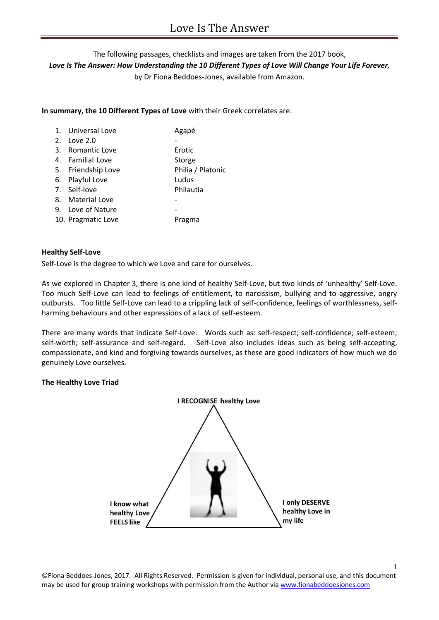The following passages, checklists and images are taken from the 2017 book, *Love Is The Answer: How Understanding the 10 Different Types of Love Will Change Your Life Forever,*  by Dr Fiona Beddoes-Jones, available from Amazon.

**In summary, the 10 Different Types of Love** with their Greek correlates are:

| 1. Universal Love  | Agapé             |
|--------------------|-------------------|
| 2. Love 2.0        |                   |
| 3. Romantic Love   | Erotic            |
| 4. Familial Love   | Storge            |
| 5. Friendship Love | Philia / Platonic |
| 6. Playful Love    | Ludus             |
| 7. Self-love       | Philautia         |
| 8. Material Love   |                   |
| 9. Love of Nature  |                   |
| 10. Pragmatic Love | Pragma            |
|                    |                   |

## **Healthy Self-Love**

Self-Love is the degree to which we Love and care for ourselves.

As we explored in Chapter 3, there is one kind of healthy Self-Love, but two kinds of 'unhealthy' Self-Love. Too much Self-Love can lead to feelings of entitlement, to narcissism, bullying and to aggressive, angry outbursts. Too little Self-Love can lead to a crippling lack of self-confidence, feelings of worthlessness, selfharming behaviours and other expressions of a lack of self-esteem.

There are many words that indicate Self-Love. Words such as: self-respect; self-confidence; self-esteem; self-worth; self-assurance and self-regard. Self-Love also includes ideas such as being self-accepting, compassionate, and kind and forgiving towards ourselves, as these are good indicators of how much we do genuinely Love ourselves.

# **The Healthy Love Triad**



1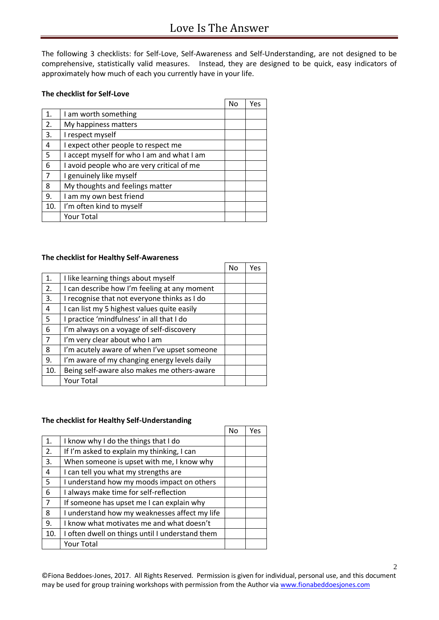The following 3 checklists: for Self-Love, Self-Awareness and Self-Understanding, are not designed to be comprehensive, statistically valid measures. Instead, they are designed to be quick, easy indicators of approximately how much of each you currently have in your life.

# **The checklist for Self-Love**

|     |                                            | No | Yes |
|-----|--------------------------------------------|----|-----|
| 1.  | I am worth something                       |    |     |
| 2.  | My happiness matters                       |    |     |
| 3.  | I respect myself                           |    |     |
| 4   | I expect other people to respect me        |    |     |
| 5   | I accept myself for who I am and what I am |    |     |
| 6   | I avoid people who are very critical of me |    |     |
| 7   | I genuinely like myself                    |    |     |
| 8   | My thoughts and feelings matter            |    |     |
| 9.  | I am my own best friend                    |    |     |
| 10. | I'm often kind to myself                   |    |     |
|     | <b>Your Total</b>                          |    |     |

# **The checklist for Healthy Self-Awareness**

|                |                                              | No | Yes |
|----------------|----------------------------------------------|----|-----|
| 1.             | I like learning things about myself          |    |     |
| 2.             | I can describe how I'm feeling at any moment |    |     |
| 3.             | I recognise that not everyone thinks as I do |    |     |
| 4              | I can list my 5 highest values quite easily  |    |     |
| 5              | I practice 'mindfulness' in all that I do    |    |     |
| 6              | I'm always on a voyage of self-discovery     |    |     |
| $\overline{7}$ | I'm very clear about who I am                |    |     |
| 8              | I'm acutely aware of when I've upset someone |    |     |
| 9.             | I'm aware of my changing energy levels daily |    |     |
| 10.            | Being self-aware also makes me others-aware  |    |     |
|                | Your Total                                   |    |     |

## **The checklist for Healthy Self-Understanding**

|                |                                                 | No | Yes |
|----------------|-------------------------------------------------|----|-----|
| 1.             | I know why I do the things that I do            |    |     |
| 2.             | If I'm asked to explain my thinking, I can      |    |     |
| 3.             | When someone is upset with me, I know why       |    |     |
| 4              | I can tell you what my strengths are            |    |     |
| 5              | I understand how my moods impact on others      |    |     |
| 6              | I always make time for self-reflection          |    |     |
| $\overline{7}$ | If someone has upset me I can explain why       |    |     |
| 8              | I understand how my weaknesses affect my life   |    |     |
| 9.             | I know what motivates me and what doesn't       |    |     |
| 10.            | I often dwell on things until I understand them |    |     |
|                | Your Total                                      |    |     |

©Fiona Beddoes-Jones, 2017. All Rights Reserved. Permission is given for individual, personal use, and this document may be used for group training workshops with permission from the Author vi[a www.fionabeddoesjones.com](http://www.fionabeddoesjones.com/)